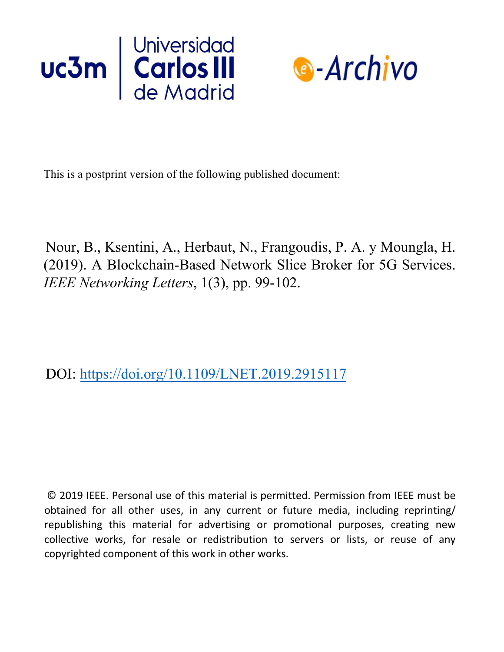



This is a postprint version of the following published document:

Nour, B., Ksentini, A., Herbaut, N., Frangoudis, P. A. y Moungla, H. (2019). A Blockchain-Based Network Slice Broker for 5G Services. *IEEE Networking Letters*, 1(3), pp. 99-102.

DOI: https://doi.org/10.1109/LNET.2019.2915117

© 2019 IEEE. Personal use of this material is permitted. Permission from IEEE must be obtained for all other uses, in any current or future media, including reprinting/ republishing this material for advertising or promotional purposes, creating new collective works, for resale or redistribution to servers or lists, or reuse of any copyrighted component of this work in other works.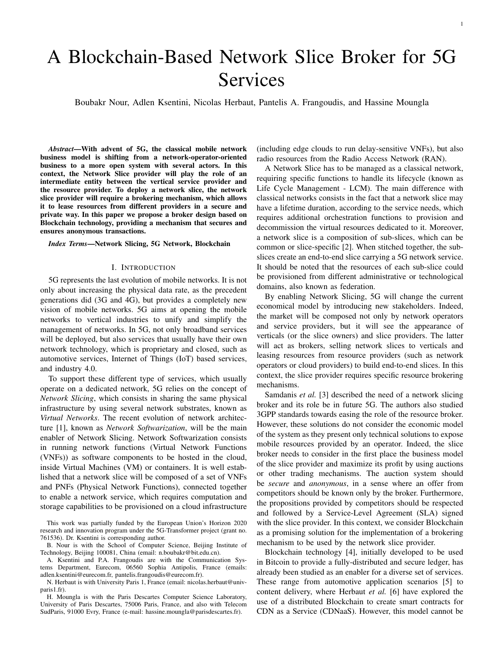# A Blockchain-Based Network Slice Broker for 5G Services

Boubakr Nour, Adlen Ksentini, Nicolas Herbaut, Pantelis A. Frangoudis, and Hassine Moungla

*Abstract*—With advent of 5G, the classical mobile network business model is shifting from a network-operator-oriented business to a more open system with several actors. In this context, the Network Slice provider will play the role of an intermediate entity between the vertical service provider and the resource provider. To deploy a network slice, the network slice provider will require a brokering mechanism, which allows it to lease resources from different providers in a secure and private way. In this paper we propose a broker design based on Blockchain technology, providing a mechanism that secures and ensures anonymous transactions.

## *Index Terms*—Network Slicing, 5G Network, Blockchain

# I. INTRODUCTION

5G represents the last evolution of mobile networks. It is not only about increasing the physical data rate, as the precedent generations did (3G and 4G), but provides a completely new vision of mobile networks. 5G aims at opening the mobile networks to vertical industries to unify and simplify the management of networks. In 5G, not only broadband services will be deployed, but also services that usually have their own network technology, which is proprietary and closed, such as automotive services, Internet of Things (IoT) based services, and industry 4.0.

To support these different type of services, which usually operate on a dedicated network, 5G relies on the concept of *Network Slicing*, which consists in sharing the same physical infrastructure by using several network substrates, known as *Virtual Networks*. The recent evolution of network architecture [1], known as *Network Softwarization*, will be the main enabler of Network Slicing. Network Softwarization consists in running network functions (Virtual Network Functions (VNFs)) as software components to be hosted in the cloud, inside Virtual Machines (VM) or containers. It is well established that a network slice will be composed of a set of VNFs and PNFs (Physical Network Functions), connected together to enable a network service, which requires computation and storage capabilities to be provisioned on a cloud infrastructure

This work was partially funded by the European Union's Horizon 2020 research and innovation program under the 5G-Transformer project (grant no. 761536). Dr. Ksentini is corresponding author.

B. Nour is with the School of Computer Science, Beijing Institute of Technology, Beijing 100081, China (email: n.boubakr@bit.edu.cn).

A. Ksentini and P.A. Frangoudis are with the Communication Systems Department, Eurecom, 06560 Sophia Antipolis, France (emails: adlen.ksentini@eurecom.fr, pantelis.frangoudis@eurecom.fr).

N. Herbaut is with University Paris 1, France (email: nicolas.herbaut@univparis1.fr).

H. Moungla is with the Paris Descartes Computer Science Laboratory, University of Paris Descartes, 75006 Paris, France, and also with Telecom SudParis, 91000 Evry, France (e-mail: hassine.moungla@parisdescartes.fr).

(including edge clouds to run delay-sensitive VNFs), but also radio resources from the Radio Access Network (RAN).

A Network Slice has to be managed as a classical network, requiring specific functions to handle its lifecycle (known as Life Cycle Management - LCM). The main difference with classical networks consists in the fact that a network slice may have a lifetime duration, according to the service needs, which requires additional orchestration functions to provision and decommission the virtual resources dedicated to it. Moreover, a network slice is a composition of sub-slices, which can be common or slice-specific [2]. When stitched together, the subslices create an end-to-end slice carrying a 5G network service. It should be noted that the resources of each sub-slice could be provisioned from different administrative or technological domains, also known as federation.

By enabling Network Slicing, 5G will change the current economical model by introducing new stakeholders. Indeed, the market will be composed not only by network operators and service providers, but it will see the appearance of verticals (or the slice owners) and slice providers. The latter will act as brokers, selling network slices to verticals and leasing resources from resource providers (such as network operators or cloud providers) to build end-to-end slices. In this context, the slice provider requires specific resource brokering mechanisms.

Samdanis *et al.* [3] described the need of a network slicing broker and its role be in future 5G. The authors also studied 3GPP standards towards easing the role of the resource broker. However, these solutions do not consider the economic model of the system as they present only technical solutions to expose mobile resources provided by an operator. Indeed, the slice broker needs to consider in the first place the business model of the slice provider and maximize its profit by using auctions or other trading mechanisms. The auction system should be *secure* and *anonymous*, in a sense where an offer from competitors should be known only by the broker. Furthermore, the propositions provided by competitors should be respected and followed by a Service-Level Agreement (SLA) signed with the slice provider. In this context, we consider Blockchain as a promising solution for the implementation of a brokering mechanism to be used by the network slice provider.

Blockchain technology [4], initially developed to be used in Bitcoin to provide a fully-distributed and secure ledger, has already been studied as an enabler for a diverse set of services. These range from automotive application scenarios [5] to content delivery, where Herbaut *et al.* [6] have explored the use of a distributed Blockchain to create smart contracts for CDN as a Service (CDNaaS). However, this model cannot be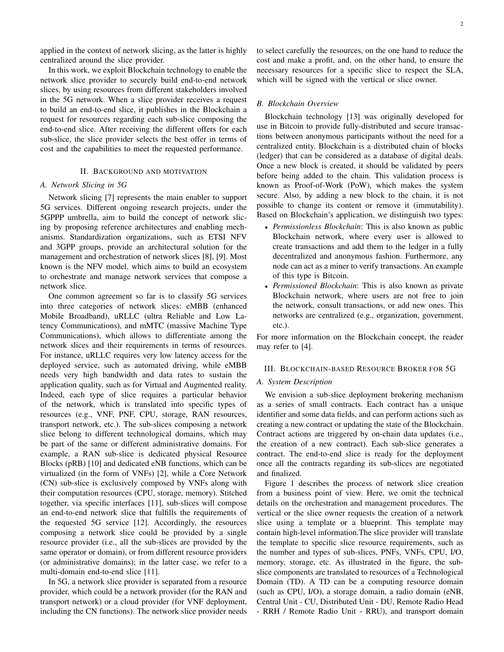applied in the context of network slicing, as the latter is highly centralized around the slice provider.

In this work, we exploit Blockchain technology to enable the network slice provider to securely build end-to-end network slices, by using resources from different stakeholders involved in the 5G network. When a slice provider receives a request to build an end-to-end slice, it publishes in the Blockchain a request for resources regarding each sub-slice composing the end-to-end slice. After receiving the different offers for each sub-slice, the slice provider selects the best offer in terms of cost and the capabilities to meet the requested performance.

# II. BACKGROUND AND MOTIVATION

# *A. Network Slicing in 5G*

Network slicing [7] represents the main enabler to support 5G services. Different ongoing research projects, under the 5GPPP umbrella, aim to build the concept of network slicing by proposing reference architectures and enabling mechanisms. Standardization organizations, such as ETSI NFV and 3GPP groups, provide an architectural solution for the management and orchestration of network slices [8], [9]. Most known is the NFV model, which aims to build an ecosystem to orchestrate and manage network services that compose a network slice.

One common agreement so far is to classify 5G services into three categories of network slices: eMBB (enhanced Mobile Broadband), uRLLC (ultra Reliable and Low Latency Communications), and mMTC (massive Machine Type Communications), which allows to differentiate among the network slices and their requirements in terms of resources. For instance, uRLLC requires very low latency access for the deployed service, such as automated driving, while eMBB needs very high bandwidth and data rates to sustain the application quality, such as for Virtual and Augmented reality. Indeed, each type of slice requires a particular behavior of the network, which is translated into specific types of resources (e.g., VNF, PNF, CPU, storage, RAN resources, transport network, etc.). The sub-slices composing a network slice belong to different technological domains, which may be part of the same or different administrative domains. For example, a RAN sub-slice is dedicated physical Resource Blocks (pRB) [10] and dedicated eNB functions, which can be virtualized (in the form of VNFs) [2], while a Core Network (CN) sub-slice is exclusively composed by VNFs along with their computation resources (CPU, storage, memory). Stitched together, via specific interfaces [11], sub-slices will compose an end-to-end network slice that fulfills the requirements of the requested 5G service [12]. Accordingly, the resources composing a network slice could be provided by a single resource provider (i.e., all the sub-slices are provided by the same operator or domain), or from different resource providers (or administrative domains); in the latter case, we refer to a multi-domain end-to-end slice [11].

In 5G, a network slice provider is separated from a resource provider, which could be a network provider (for the RAN and transport network) or a cloud provider (for VNF deployment, including the CN functions). The network slice provider needs to select carefully the resources, on the one hand to reduce the cost and make a profit, and, on the other hand, to ensure the necessary resources for a specific slice to respect the SLA, which will be signed with the vertical or slice owner.

## *B. Blockchain Overview*

Blockchain technology [13] was originally developed for use in Bitcoin to provide fully-distributed and secure transactions between anonymous participants without the need for a centralized entity. Blockchain is a distributed chain of blocks (ledger) that can be considered as a database of digital deals. Once a new block is created, it should be validated by peers before being added to the chain. This validation process is known as Proof-of-Work (PoW), which makes the system secure. Also, by adding a new block to the chain, it is not possible to change its content or remove it (immutability). Based on Blockchain's application, we distinguish two types:

- *Permissionless Blockchain*: This is also known as public Blockchain network, where every user is allowed to create transactions and add them to the ledger in a fully decentralized and anonymous fashion. Furthermore, any node can act as a miner to verify transactions. An example of this type is Bitcoin.
- *Permissioned Blockchain*: This is also known as private Blockchain network, where users are not free to join the network, consult transactions, or add new ones. This networks are centralized (e.g., organization, government, etc.).

For more information on the Blockchain concept, the reader may refer to [4].

## III. BLOCKCHAIN-BASED RESOURCE BROKER FOR 5G

#### *A. System Description*

We envision a sub-slice deployment brokering mechanism as a series of small contracts. Each contract has a unique identifier and some data fields, and can perform actions such as creating a new contract or updating the state of the Blockchain. Contract actions are triggered by on-chain data updates (i.e., the creation of a new contract). Each sub-slice generates a contract. The end-to-end slice is ready for the deployment once all the contracts regarding its sub-slices are negotiated and finalized.

Figure 1 describes the process of network slice creation from a business point of view. Here, we omit the technical details on the orchestration and management procedures. The vertical or the slice owner requests the creation of a network slice using a template or a blueprint. This template may contain high-level information.The slice provider will translate the template to specific slice resource requirements, such as the number and types of sub-slices, PNFs, VNFs, CPU, I/O, memory, storage, etc. As illustrated in the figure, the subslice components are translated to resources of a Technological Domain (TD). A TD can be a computing resource domain (such as CPU, I/O), a storage domain, a radio domain (eNB, Central Unit - CU, Distributed Unit - DU, Remote Radio Head - RRH / Remote Radio Unit - RRU), and transport domain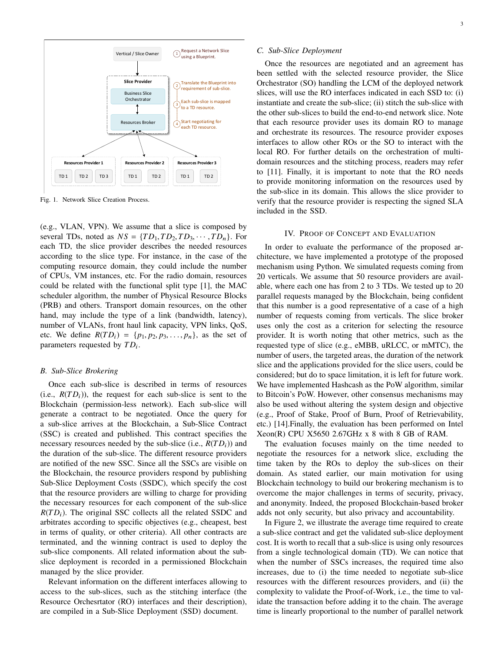

Fig. 1. Network Slice Creation Process.

(e.g., VLAN, VPN). We assume that a slice is composed by several TDs, noted as  $NS = \{TD_1, TD_2, TD_3, \cdots, TD_n\}$ . For each TD, the slice provider describes the needed resources according to the slice type. For instance, in the case of the computing resource domain, they could include the number of CPUs, VM instances, etc. For the radio domain, resources could be related with the functional split type [1], the MAC scheduler algorithm, the number of Physical Resource Blocks (PRB) and others. Transport domain resources, on the other hand, may include the type of a link (bandwidth, latency), number of VLANs, front haul link capacity, VPN links, QoS, etc. We define  $R(T D_i) = \{p_1, p_2, p_3, \ldots, p_n\}$ , as the set of parameters requested by  $TD_i$ .

## *B. Sub-Slice Brokering*

Once each sub-slice is described in terms of resources (i.e.,  $R(T D_i)$ ), the request for each sub-slice is sent to the Blockchain (permission-less network). Each sub-slice will generate a contract to be negotiated. Once the query for a sub-slice arrives at the Blockchain, a Sub-Slice Contract (SSC) is created and published. This contract specifies the necessary resources needed by the sub-slice (i.e., *R*(*T D*i)) and the duration of the sub-slice. The different resource providers are notified of the new SSC. Since all the SSCs are visible on the Blockchain, the resource providers respond by publishing Sub-Slice Deployment Costs (SSDC), which specify the cost that the resource providers are willing to charge for providing the necessary resources for each component of the sub-slice  $R(T D_i)$ . The original SSC collects all the related SSDC and arbitrates according to specific objectives (e.g., cheapest, best in terms of quality, or other criteria). All other contracts are terminated, and the winning contract is used to deploy the sub-slice components. All related information about the subslice deployment is recorded in a permissioned Blockchain managed by the slice provider.

Relevant information on the different interfaces allowing to access to the sub-slices, such as the stitching interface (the Resource Orchesrtator (RO) interfaces and their description), are compiled in a Sub-Slice Deployment (SSD) document.

# *C. Sub-Slice Deployment*

Once the resources are negotiated and an agreement has been settled with the selected resource provider, the Slice Orchestrator (SO) handling the LCM of the deployed network slices, will use the RO interfaces indicated in each SSD to: (i) instantiate and create the sub-slice; (ii) stitch the sub-slice with the other sub-slices to build the end-to-end network slice. Note that each resource provider uses its domain RO to manage and orchestrate its resources. The resource provider exposes interfaces to allow other ROs or the SO to interact with the local RO. For further details on the orchestration of multidomain resources and the stitching process, readers may refer to [11]. Finally, it is important to note that the RO needs to provide monitoring information on the resources used by the sub-slice in its domain. This allows the slice provider to verify that the resource provider is respecting the signed SLA included in the SSD.

## IV. PROOF OF CONCEPT AND EVALUATION

In order to evaluate the performance of the proposed architecture, we have implemented a prototype of the proposed mechanism using Python. We simulated requests coming from 20 verticals. We assume that 50 resource providers are available, where each one has from 2 to 3 TDs. We tested up to 20 parallel requests managed by the Blockchain, being confident that this number is a good representative of a case of a high number of requests coming from verticals. The slice broker uses only the cost as a criterion for selecting the resource provider. It is worth noting that other metrics, such as the requested type of slice (e.g., eMBB, uRLCC, or mMTC), the number of users, the targeted areas, the duration of the network slice and the applications provided for the slice users, could be considered; but do to space limitation, it is left for future work. We have implemented Hashcash as the PoW algorithm, similar to Bitcoin's PoW. However, other consensus mechanisms may also be used without altering the system design and objective (e.g., Proof of Stake, Proof of Burn, Proof of Retrievability, etc.) [14].Finally, the evaluation has been performed on Intel Xeon(R) CPU X5650 2.67GHz x 8 with 8 GB of RAM.

The evaluation focuses mainly on the time needed to negotiate the resources for a network slice, excluding the time taken by the ROs to deploy the sub-slices on their domain. As stated earlier, our main motivation for using Blockchain technology to build our brokering mechanism is to overcome the major challenges in terms of security, privacy, and anonymity. Indeed, the proposed Blockchain-based broker adds not only security, but also privacy and accountability.

In Figure 2, we illustrate the average time required to create a sub-slice contract and get the validated sub-slice deployment cost. It is worth to recall that a sub-slice is using only resources from a single technological domain (TD). We can notice that when the number of SSCs increases, the required time also increases, due to (i) the time needed to negotiate sub-slice resources with the different resources providers, and (ii) the complexity to validate the Proof-of-Work, i.e., the time to validate the transaction before adding it to the chain. The average time is linearly proportional to the number of parallel network